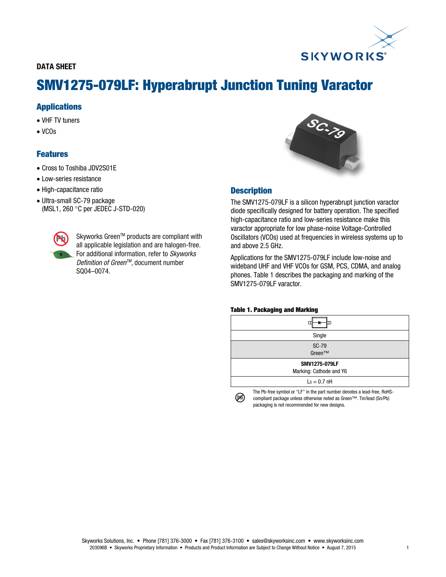# **SKYWORKS**

# DATA SHEET

# SMV1275-079LF: Hyperabrupt Junction Tuning Varactor

## Applications

- VHF TV tuners
- $\bullet$  VCOs

# Features

- Cross to Toshiba JDV2S01E
- Low-series resistance
- High-capacitance ratio
- Ultra-small SC-79 package (MSL1, 260 °C per JEDEC J-STD-020)



Skyworks Green™ products are compliant with all applicable legislation and are halogen-free. For additional information, refer to Skyworks Definition of Green<sup>™</sup>, document number SQ04–0074.



### **Description**

The SMV1275-079LF is a silicon hyperabrupt junction varactor diode specifically designed for battery operation. The specified high-capacitance ratio and low-series resistance make this varactor appropriate for low phase-noise Voltage-Controlled Oscillators (VCOs) used at frequencies in wireless systems up to and above 2.5 GHz.

Applications for the SMV1275-079LF include low-noise and wideband UHF and VHF VCOs for GSM, PCS, CDMA, and analog phones. Table 1 describes the packaging and marking of the SMV1275-079LF varactor.

#### Table 1. Packaging and Marking

| Single                                   |
|------------------------------------------|
| <b>SC-79</b><br>Green™                   |
| SMV1275-079LF<br>Marking: Cathode and Y6 |
| $\mathsf{Ls} = 0.7 \text{ nH}$           |
|                                          |

The Pb-free symbol or "LF" in the part number denotes a lead-free, RoHScompliant package unless otherwise noted as Green™. Tin/lead (Sn/Pb) packaging is not recommended for new designs.

(M)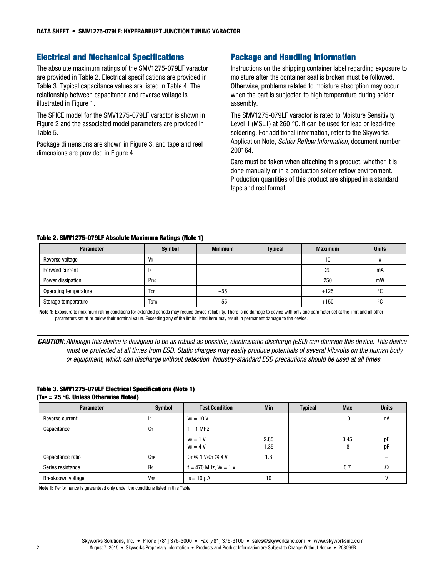#### Electrical and Mechanical Specifications

The absolute maximum ratings of the SMV1275-079LF varactor are provided in Table 2. Electrical specifications are provided in Table 3. Typical capacitance values are listed in Table 4. The relationship between capacitance and reverse voltage is illustrated in Figure 1.

The SPICE model for the SMV1275-079LF varactor is shown in Figure 2 and the associated model parameters are provided in Table 5.

Package dimensions are shown in Figure 3, and tape and reel dimensions are provided in Figure 4.

#### Package and Handling Information

Instructions on the shipping container label regarding exposure to moisture after the container seal is broken must be followed. Otherwise, problems related to moisture absorption may occur when the part is subjected to high temperature during solder assembly.

The SMV1275-079LF varactor is rated to Moisture Sensitivity Level 1 (MSL1) at 260  $\degree$ C. It can be used for lead or lead-free soldering. For additional information, refer to the Skyworks Application Note, Solder Reflow Information, document number 200164.

Care must be taken when attaching this product, whether it is done manually or in a production solder reflow environment. Production quantities of this product are shipped in a standard tape and reel format.

#### Table 2. SMV1275-079LF Absolute Maximum Ratings (Note 1)

| <b>Parameter</b>      | Symbol           | <b>Minimum</b> | <b>Typical</b> | <b>Maximum</b> | <b>Units</b> |
|-----------------------|------------------|----------------|----------------|----------------|--------------|
| Reverse voltage       | VR               |                |                | 10             |              |
| Forward current       |                  |                |                | 20             | mA           |
| Power dissipation     | P <sub>DIS</sub> |                |                | 250            | mW           |
| Operating temperature | Top              | $-55$          |                | $+125$         | ۰c           |
| Storage temperature   | <b>T</b> stg     | $-55$          |                | $+150$         | °C           |

Note 1: Exposure to maximum rating conditions for extended periods may reduce device reliability. There is no damage to device with only one parameter set at the limit and all other parameters set at or below their nominal value. Exceeding any of the limits listed here may result in permanent damage to the device.

CAUTION: Although this device is designed to be as robust as possible, electrostatic discharge (ESD) can damage this device. This device must be protected at all times from ESD. Static charges may easily produce potentials of several kilovolts on the human body or equipment, which can discharge without detection. Industry-standard ESD precautions should be used at all times.

#### Table 3. SMV1275-079LF Electrical Specifications (Note 1) (Top =  $25 °C$ , Unless Otherwise Noted)

| <b>Parameter</b>  | <b>Symbol</b>   | <b>Test Condition</b>      | <b>Min</b> | <b>Typical</b> | <b>Max</b> | <b>Units</b> |
|-------------------|-----------------|----------------------------|------------|----------------|------------|--------------|
| Reverse current   | <b>IR</b>       | $V_R = 10 V$               |            |                | 10         | nA           |
| Capacitance       | Cт              | $f = 1$ MHz                |            |                |            |              |
|                   |                 | $V_R = 1 V$                | 2.85       |                | 3.45       | pF           |
|                   |                 | $V_R = 4 V$                | 1.35       |                | 1.81       | pF           |
| Capacitance ratio | C <sub>TR</sub> | $C_T @ 1 V/C_T @ 4 V$      | 1.8        |                |            |              |
| Series resistance | Rs              | $f = 470$ MHz, $V_R = 1$ V |            |                | 0.7        | Ω            |
| Breakdown voltage | <b>VBR</b>      | $I_R = 10 \mu A$           | 10         |                |            |              |

Note 1: Performance is guaranteed only under the conditions listed in this Table.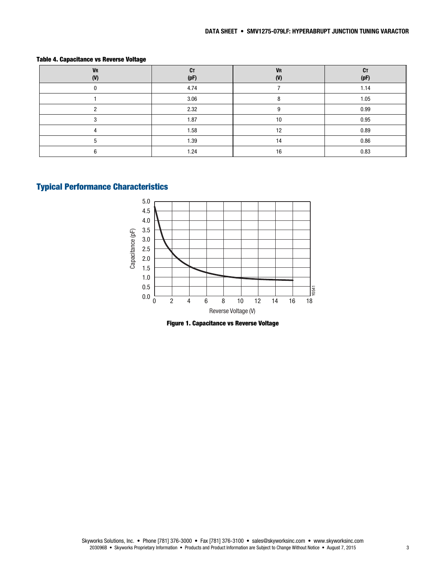| <b>VR</b><br>(V) | <b>CT</b><br>(pF) | <b>VR</b><br>(V) | СT<br>(pF) |  |
|------------------|-------------------|------------------|------------|--|
|                  | 4.74              |                  | 1.14       |  |
|                  | 3.06              |                  | 1.05       |  |
|                  | 2.32              |                  | 0.99       |  |
|                  | 1.87              | 10               | 0.95       |  |
|                  | 1.58              | 10               | 0.89       |  |
|                  | 1.39              | 14               | 0.86       |  |
|                  | 1.24              | 16               | 0.83       |  |

#### Table 4. Capacitance vs Reverse Voltage

# Typical Performance Characteristics



Figure 1. Capacitance vs Reverse Voltage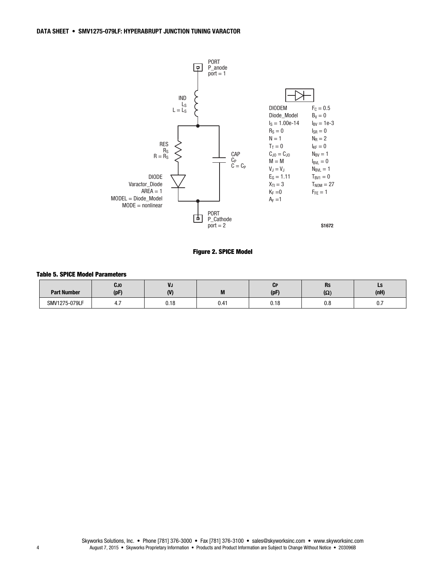

Figure 2. SPICE Model

#### Table 5. SPICE Model Parameters

| <b>Part Number</b> | CJ0<br>(pF | VJ<br>$\mathbf{u}$  | M    | UP<br>(pF | п.<br>n,<br>$\sim$<br>777 | LJ<br>(nH)                    |
|--------------------|------------|---------------------|------|-----------|---------------------------|-------------------------------|
| SMV1275-079LF      | 4<br>T. 1  | 0.40<br><b>U.IO</b> | 0.41 | 0.18      | n n<br>v.v                | $\mathsf{v} \cdot \mathsf{r}$ |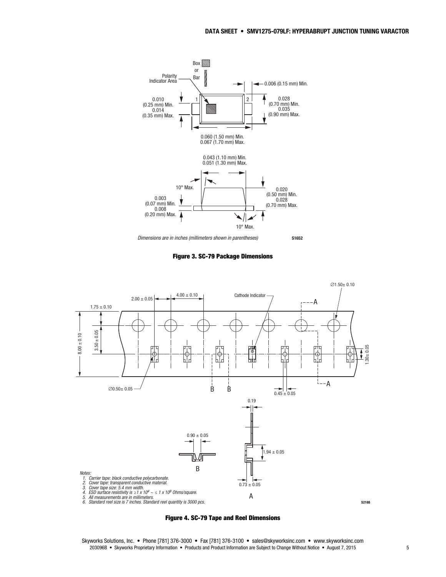

Figure 3. SC-79 Package Dimensions





Skyworks Solutions, Inc. • Phone [781] 376-3000 • Fax [781] 376-3100 • sales@skyworksinc.com • www.skyworksinc.com 203096B • Skyworks Proprietary Information • Products and Product Information are Subject to Change Without Notice • August 7, 2015 5